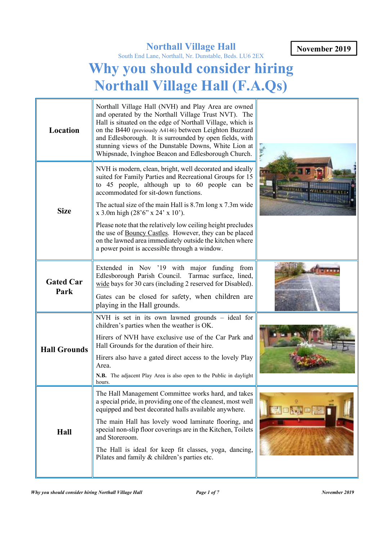**November 2019**

# **Northall Village Hall**

South End Lane, Northall, Nr. Dunstable, Beds. LU6 2EX

# **Why you should consider hiring Northall Village Hall (F.A.Qs)**

| Location                 | Northall Village Hall (NVH) and Play Area are owned<br>and operated by the Northall Village Trust NVT). The<br>Hall is situated on the edge of Northall Village, which is<br>on the B440 (previously A4146) between Leighton Buzzard<br>and Edlesborough. It is surrounded by open fields, with<br>stunning views of the Dunstable Downs, White Lion at<br>Whipsnade, Ivinghoe Beacon and Edlesborough Church. | <b>A</b> VE |
|--------------------------|----------------------------------------------------------------------------------------------------------------------------------------------------------------------------------------------------------------------------------------------------------------------------------------------------------------------------------------------------------------------------------------------------------------|-------------|
| <b>Size</b>              | NVH is modern, clean, bright, well decorated and ideally<br>suited for Family Parties and Recreational Groups for 15<br>to 45 people, although up to 60 people can be<br>accommodated for sit-down functions.<br>The actual size of the main Hall is 8.7m long x 7.3m wide<br>$x$ 3.0m high (28'6" $x$ 24' $x$ 10').<br>Please note that the relatively low ceiling height precludes                           |             |
|                          | the use of Bouncy Castles. However, they can be placed<br>on the lawned area immediately outside the kitchen where<br>a power point is accessible through a window.                                                                                                                                                                                                                                            |             |
| <b>Gated Car</b><br>Park | Extended in Nov '19 with major funding from<br>Edlesborough Parish Council. Tarmac surface, lined,<br>wide bays for 30 cars (including 2 reserved for Disabled).                                                                                                                                                                                                                                               |             |
|                          | Gates can be closed for safety, when children are<br>playing in the Hall grounds.                                                                                                                                                                                                                                                                                                                              |             |
|                          | NVH is set in its own lawned grounds - ideal for<br>children's parties when the weather is OK.                                                                                                                                                                                                                                                                                                                 |             |
| <b>Hall Grounds</b>      | Hirers of NVH have exclusive use of the Car Park and<br>Hall Grounds for the duration of their hire.                                                                                                                                                                                                                                                                                                           |             |
|                          | Hirers also have a gated direct access to the lovely Play<br>Area.<br>N.B. The adjacent Play Area is also open to the Public in daylight<br>hours.                                                                                                                                                                                                                                                             |             |
| Hall                     | The Hall Management Committee works hard, and takes<br>a special pride, in providing one of the cleanest, most well<br>equipped and best decorated halls available anywhere.                                                                                                                                                                                                                                   |             |
|                          | The main Hall has lovely wood laminate flooring, and<br>special non-slip floor coverings are in the Kitchen, Toilets<br>and Storeroom.                                                                                                                                                                                                                                                                         |             |
|                          | The Hall is ideal for keep fit classes, yoga, dancing,<br>Pilates and family & children's parties etc.                                                                                                                                                                                                                                                                                                         |             |
|                          |                                                                                                                                                                                                                                                                                                                                                                                                                |             |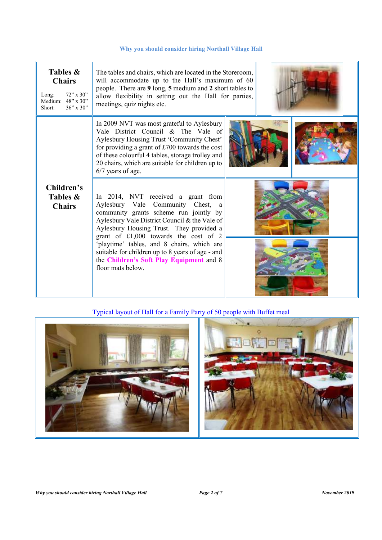| Tables &<br><b>Chairs</b><br>$72$ " x 30"<br>Long:<br>Medium: 48" x 30"<br>$36'' \times 30''$<br>Short: | The tables and chairs, which are located in the Storeroom,<br>will accommodate up to the Hall's maximum of 60<br>people. There are 9 long, 5 medium and 2 short tables to<br>allow flexibility in setting out the Hall for parties,<br>meetings, quiz nights etc.                                                 |  |  |  |
|---------------------------------------------------------------------------------------------------------|-------------------------------------------------------------------------------------------------------------------------------------------------------------------------------------------------------------------------------------------------------------------------------------------------------------------|--|--|--|
|                                                                                                         | In 2009 NVT was most grateful to Aylesbury<br>Vale District Council & The Vale of<br>Aylesbury Housing Trust 'Community Chest'<br>for providing a grant of $£700$ towards the cost<br>of these colourful 4 tables, storage trolley and<br>20 chairs, which are suitable for children up to<br>$6/7$ years of age. |  |  |  |
| Children's<br>Tables &<br><b>Chairs</b>                                                                 | In 2014, NVT received a grant from<br>Aylesbury Vale Community Chest, a<br>community grants scheme run jointly by<br>Aylesbury Vale District Council & the Vale of<br>Aylesbury Housing Trust. They provided a<br>grant of £1,000 towards the cost of 2                                                           |  |  |  |
|                                                                                                         | 'playtime' tables, and 8 chairs, which are<br>suitable for children up to 8 years of age - and<br>the Children's Soft Play Equipment and 8<br>floor mats below.                                                                                                                                                   |  |  |  |

# Typical layout of Hall for a Family Party of 50 people with Buffet meal

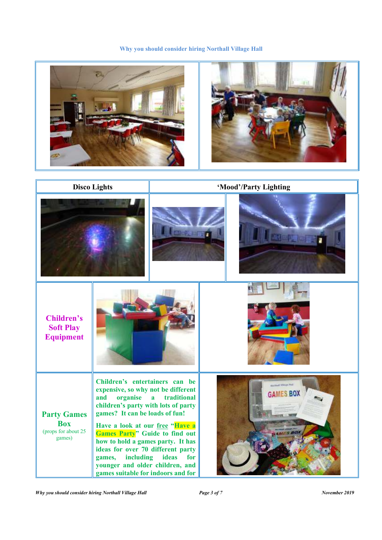

*Why you should consider hiring Northall Village Hall* Page 3 of 7 November 2019 *November 2019*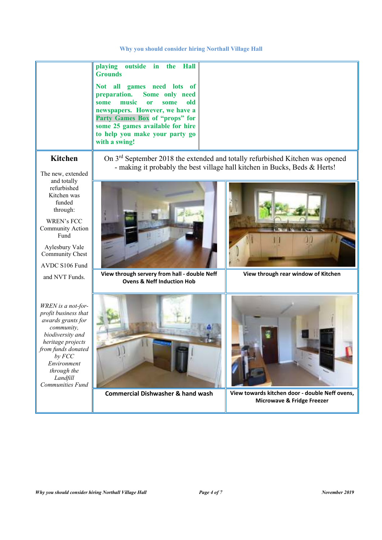|                                                                                                                                                                                                                          | outside in<br>playing<br>the Hall<br><b>Grounds</b><br>Not all<br>games need lots of<br>preparation.<br>Some only need<br>music<br>old<br>some<br><sub>or</sub><br>some<br>newspapers. However, we have a<br>Party Games Box of "props" for<br>some 25 games available for hire<br>to help you make your party go<br>with a swing! |                                     |  |  |  |  |
|--------------------------------------------------------------------------------------------------------------------------------------------------------------------------------------------------------------------------|------------------------------------------------------------------------------------------------------------------------------------------------------------------------------------------------------------------------------------------------------------------------------------------------------------------------------------|-------------------------------------|--|--|--|--|
| <b>Kitchen</b><br>The new, extended                                                                                                                                                                                      | On 3 <sup>rd</sup> September 2018 the extended and totally refurbished Kitchen was opened<br>- making it probably the best village hall kitchen in Bucks, Beds & Herts!                                                                                                                                                            |                                     |  |  |  |  |
| and totally<br>refurbished<br>Kitchen was<br>funded<br>through:<br>WREN's FCC<br>Community Action<br>Fund<br>Aylesbury Vale<br><b>Community Chest</b><br>AVDC S106 Fund                                                  |                                                                                                                                                                                                                                                                                                                                    |                                     |  |  |  |  |
| and NVT Funds.                                                                                                                                                                                                           | View through servery from hall - double Neff<br><b>Ovens &amp; Neff Induction Hob</b>                                                                                                                                                                                                                                              | View through rear window of Kitchen |  |  |  |  |
| WREN is a not-for-<br>profit business that<br>awards grants for<br>community,<br>biodiversity and<br>heritage projects<br>from funds donated<br>$by$ $FCC$<br>Environment<br>through the<br>Landfill<br>Communities Fund |                                                                                                                                                                                                                                                                                                                                    |                                     |  |  |  |  |

**Commercial Dishwasher & hand wash View towards kitchen door - double Neff ovens,** 

**Microwave & Fridge Freezer**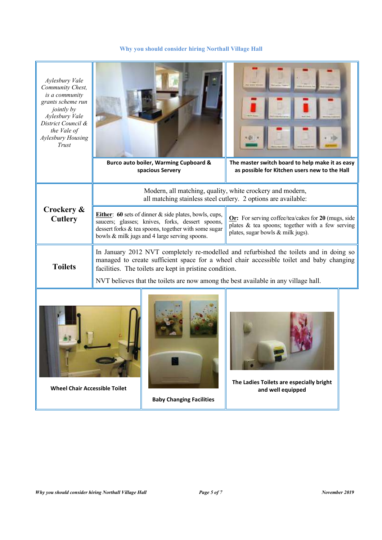| Aylesbury Vale<br>Community Chest,<br>is a community<br>grants scheme run<br><i>jointly by</i><br>Aylesbury Vale<br>District Council &<br>the Vale of<br>Aylesbury Housing<br>Trust |                                                                                                                                                                                                                                                                                                                                                                    | Burco auto boiler, Warming Cupboard &<br>spacious Servery | The master switch board to help make it as easy<br>as possible for Kitchen users new to the Hall |  |
|-------------------------------------------------------------------------------------------------------------------------------------------------------------------------------------|--------------------------------------------------------------------------------------------------------------------------------------------------------------------------------------------------------------------------------------------------------------------------------------------------------------------------------------------------------------------|-----------------------------------------------------------|--------------------------------------------------------------------------------------------------|--|
|                                                                                                                                                                                     | Modern, all matching, quality, white crockery and modern,<br>all matching stainless steel cutlery. 2 options are available:                                                                                                                                                                                                                                        |                                                           |                                                                                                  |  |
| Crockery &<br><b>Cutlery</b>                                                                                                                                                        | Either: 60 sets of dinner & side plates, bowls, cups,<br>Or: For serving coffee/tea/cakes for 20 (mugs, side<br>saucers; glasses; knives, forks, dessert spoons,<br>plates & tea spoons; together with a few serving<br>dessert forks & tea spoons, together with some sugar<br>plates, sugar bowls & milk jugs).<br>bowls & milk jugs and 4 large serving spoons. |                                                           |                                                                                                  |  |
| <b>Toilets</b>                                                                                                                                                                      | In January 2012 NVT completely re-modelled and refurbished the toilets and in doing so<br>managed to create sufficient space for a wheel chair accessible toilet and baby changing<br>facilities. The toilets are kept in pristine condition.<br>NVT believes that the toilets are now among the best available in any village hall.                               |                                                           |                                                                                                  |  |
| The Ladies Toilets are especially bright<br><b>Wheel Chair Accessible Toilet</b><br>and well equipped                                                                               |                                                                                                                                                                                                                                                                                                                                                                    |                                                           |                                                                                                  |  |

**Baby Changing Facilities**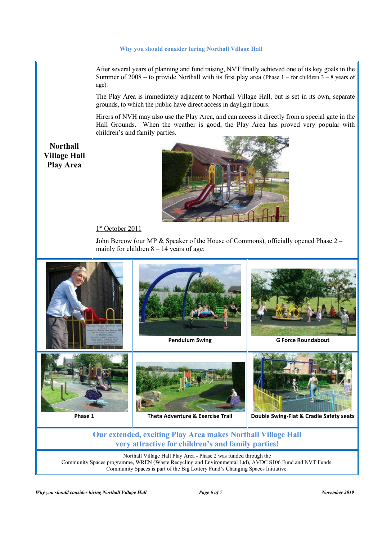After several years of planning and fund raising, NVT finally achieved one of its key goals in the Summer of  $2008 -$  to provide Northall with its first play area (Phase 1 – for children 3 – 8 years of age).

The Play Area is immediately adjacent to Northall Village Hall, but is set in its own, separate grounds, to which the public have direct access in daylight hours.

Hirers of NVH may also use the Play Area, and can access it directly from a special gate in the Hall Grounds. When the weather is good, the Play Area has proved very popular with children's and family parties.

**Northall Village Hall Play Area** 



1<sup>st</sup> October 2011

John Bercow (our MP & Speaker of the House of Commons), officially opened Phase 2 – mainly for children  $8 - 14$  years of age:



## **Our extended, exciting Play Area makes Northall Village Hall very attractive for children's and family parties!**

Northall Village Hall Play Area - Phase 2 was funded through the Community Spaces programme, WREN (Waste Recycling and Environmental Ltd), AVDC S106 Fund and NVT Funds. Community Spaces is part of the Big Lottery Fund's Changing Spaces Initiative.

*Why you should consider hiring Northall Village Hall Page 6 of 7* Page 6 of 7 November 2019 *November 2019 November 2019*